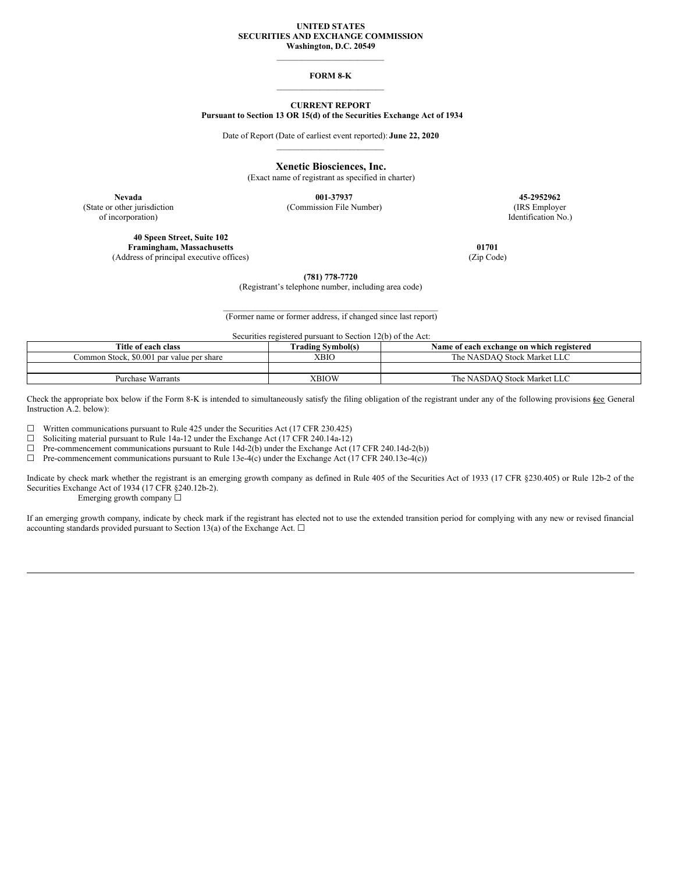#### **UNITED STATES SECURITIES AND EXCHANGE COMMISSION Washington, D.C. 20549**

\_\_\_\_\_\_\_\_\_\_\_\_\_\_\_\_\_\_\_\_\_\_\_\_\_

### **FORM 8-K** \_\_\_\_\_\_\_\_\_\_\_\_\_\_\_\_\_\_\_\_\_\_\_\_\_

## **CURRENT REPORT Pursuant to Section 13 OR 15(d) of the Securities Exchange Act of 1934**

Date of Report (Date of earliest event reported): **June 22, 2020** \_\_\_\_\_\_\_\_\_\_\_\_\_\_\_\_\_\_\_\_\_\_\_\_\_

**Xenetic Biosciences, Inc.**

(Exact name of registrant as specified in charter)

of incorporation) Identification No.)

**Nevada 001-37937 45-2952962** (State or other jurisdiction (Commission File Number) (IRS Employer

**40 Speen Street, Suite 102 Framingham, Massachusetts 01701** (Address of principal executive offices) (Zip Code)

**(781) 778-7720**

(Registrant's telephone number, including area code)

 $\mathcal{L}_\text{max}$  and the contract of the contract of the contract of the contract of the contract of the contract of the contract of the contract of the contract of the contract of the contract of the contract of the contrac (Former name or former address, if changed since last report)

Securities registered pursuant to Section 12(b) of the Act:

| Title of each class                       | Trading Symbol(s) | Name of each exchange on which registered |
|-------------------------------------------|-------------------|-------------------------------------------|
| Common Stock, \$0.001 par value per share | <b>YBIO</b>       | The NASDAO Stock Market LLC               |
|                                           |                   |                                           |
| <b>Purchase Warrants</b>                  | XBIOW             | The NASDAO Stock Market LLC               |

Check the appropriate box below if the Form 8-K is intended to simultaneously satisfy the filing obligation of the registrant under any of the following provisions **6ee** General Instruction A.2. below):

☐ Written communications pursuant to Rule 425 under the Securities Act (17 CFR 230.425)

□ Soliciting material pursuit to Rule 14a-12 under the Exchange Act (17 CFR 240.14a-12) <math display="inline">\Box</math> Pre-component communications pursuit to Rule 14d-2(b) under the Exchange Act (1

Pre-commencement communications pursuant to Rule 14d-2(b) under the Exchange Act (17 CFR 240.14d-2(b))

 $\Box$  Pre-commencement communications pursuant to Rule 13e-4(c) under the Exchange Act (17 CFR 240.13e-4(c))

Indicate by check mark whether the registrant is an emerging growth company as defined in Rule 405 of the Securities Act of 1933 (17 CFR §230.405) or Rule 12b-2 of the Securities Exchange Act of 1934 (17 CFR §240.12b-2).

Emerging growth company  $\Box$ 

If an emerging growth company, indicate by check mark if the registrant has elected not to use the extended transition period for complying with any new or revised financial accounting standards provided pursuant to Section 13(a) of the Exchange Act.  $\Box$